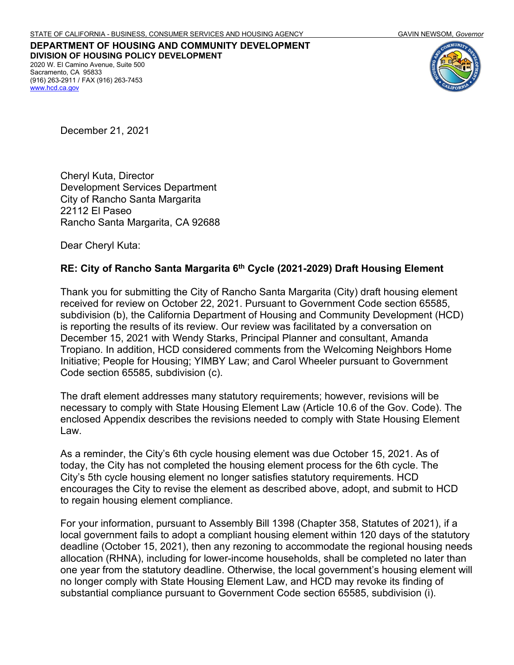**DEPARTMENT OF HOUSING AND COMMUNITY DEVELOPMENT DIVISION OF HOUSING POLICY DEVELOPMENT** 2020 W. El Camino Avenue, Suite 500 Sacramento, CA 95833 (916) 263-2911 / FAX (916) 263-7453 [www.hcd.ca.gov](http://www.hcd.ca.gov/)



December 21, 2021

Cheryl Kuta, Director Development Services Department City of Rancho Santa Margarita 22112 El Paseo Rancho Santa Margarita, CA 92688

Dear Cheryl Kuta:

#### **RE: City of Rancho Santa Margarita 6th Cycle (2021-2029) Draft Housing Element**

Thank you for submitting the City of Rancho Santa Margarita (City) draft housing element received for review on October 22, 2021. Pursuant to Government Code section 65585, subdivision (b), the California Department of Housing and Community Development (HCD) is reporting the results of its review. Our review was facilitated by a conversation on December 15, 2021 with Wendy Starks, Principal Planner and consultant, Amanda Tropiano. In addition, HCD considered comments from the Welcoming Neighbors Home Initiative; People for Housing; YIMBY Law; and Carol Wheeler pursuant to Government Code section 65585, subdivision (c).

The draft element addresses many statutory requirements; however, revisions will be necessary to comply with State Housing Element Law (Article 10.6 of the Gov. Code). The enclosed Appendix describes the revisions needed to comply with State Housing Element Law.

As a reminder, the City's 6th cycle housing element was due October 15, 2021. As of today, the City has not completed the housing element process for the 6th cycle. The City's 5th cycle housing element no longer satisfies statutory requirements. HCD encourages the City to revise the element as described above, adopt, and submit to HCD to regain housing element compliance.

For your information, pursuant to Assembly Bill 1398 (Chapter 358, Statutes of 2021), if a local government fails to adopt a compliant housing element within 120 days of the statutory deadline (October 15, 2021), then any rezoning to accommodate the regional housing needs allocation (RHNA), including for lower-income households, shall be completed no later than one year from the statutory deadline. Otherwise, the local government's housing element will no longer comply with State Housing Element Law, and HCD may revoke its finding of substantial compliance pursuant to Government Code section 65585, subdivision (i).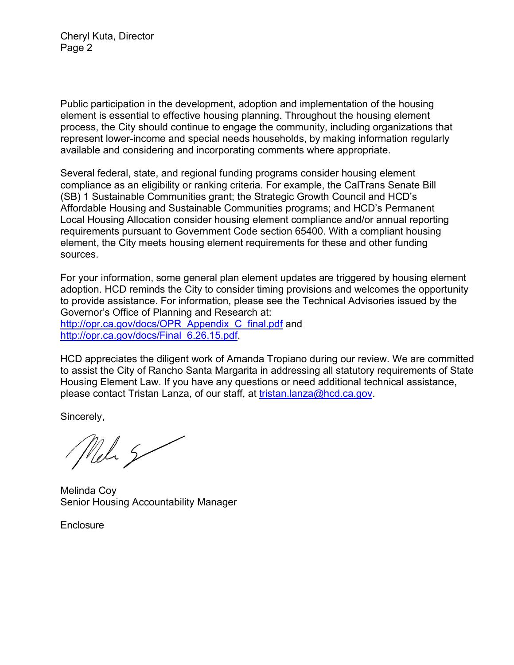Cheryl Kuta, Director Page 2

Public participation in the development, adoption and implementation of the housing element is essential to effective housing planning. Throughout the housing element process, the City should continue to engage the community, including organizations that represent lower-income and special needs households, by making information regularly available and considering and incorporating comments where appropriate.

Several federal, state, and regional funding programs consider housing element compliance as an eligibility or ranking criteria. For example, the CalTrans Senate Bill (SB) 1 Sustainable Communities grant; the Strategic Growth Council and HCD's Affordable Housing and Sustainable Communities programs; and HCD's Permanent Local Housing Allocation consider housing element compliance and/or annual reporting requirements pursuant to Government Code section 65400. With a compliant housing element, the City meets housing element requirements for these and other funding sources.

For your information, some general plan element updates are triggered by housing element adoption. HCD reminds the City to consider timing provisions and welcomes the opportunity to provide assistance. For information, please see the Technical Advisories issued by the Governor's Office of Planning and Research at: [http://opr.ca.gov/docs/OPR\\_Appendix\\_C\\_final.pdf](http://opr.ca.gov/docs/OPR_Appendix_C_final.pdf) and [http://opr.ca.gov/docs/Final\\_6.26.15.pdf.](http://opr.ca.gov/docs/Final_6.26.15.pdf)

HCD appreciates the diligent work of Amanda Tropiano during our review. We are committed to assist the City of Rancho Santa Margarita in addressing all statutory requirements of State Housing Element Law. If you have any questions or need additional technical assistance, please contact Tristan Lanza, of our staff, at [tristan.lanza@hcd.ca.gov.](mailto:tristan.lanza@hcd.ca.gov)

Sincerely,

Nel 5

Melinda Coy Senior Housing Accountability Manager

**Enclosure**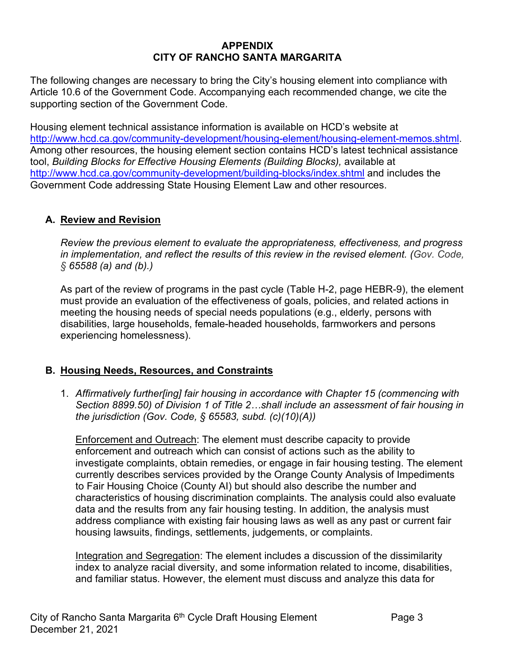#### **APPENDIX CITY OF RANCHO SANTA MARGARITA**

The following changes are necessary to bring the City's housing element into compliance with Article 10.6 of the Government Code. Accompanying each recommended change, we cite the supporting section of the Government Code.

Housing element technical assistance information is available on HCD's website at [http://www.hcd.ca.gov/community-development/housing-element/housing-element-memos.shtml.](http://www.hcd.ca.gov/community-development/housing-element/housing-element-memos.shtml) Among other resources, the housing element section contains HCD's latest technical assistance tool, *Building Blocks for Effective Housing Elements (Building Blocks),* available at <http://www.hcd.ca.gov/community-development/building-blocks/index.shtml> and includes the Government Code addressing State Housing Element Law and other resources.

### **A. Review and Revision**

*Review the previous element to evaluate the appropriateness, effectiveness, and progress in implementation, and reflect the results of this review in the revised element. (Gov. Code, § 65588 (a) and (b).)*

As part of the review of programs in the past cycle (Table H-2, page HEBR-9), the element must provide an evaluation of the effectiveness of goals, policies, and related actions in meeting the housing needs of special needs populations (e.g., elderly, persons with disabilities, large households, female-headed households, farmworkers and persons experiencing homelessness).

### **B. Housing Needs, Resources, and Constraints**

1. *Affirmatively further[ing] fair housing in accordance with Chapter 15 (commencing with Section 8899.50) of Division 1 of Title 2…shall include an assessment of fair housing in the jurisdiction (Gov. Code, § 65583, subd. (c)(10)(A))*

Enforcement and Outreach: The element must describe capacity to provide enforcement and outreach which can consist of actions such as the ability to investigate complaints, obtain remedies, or engage in fair housing testing. The element currently describes services provided by the Orange County Analysis of Impediments to Fair Housing Choice (County AI) but should also describe the number and characteristics of housing discrimination complaints. The analysis could also evaluate data and the results from any fair housing testing. In addition, the analysis must address compliance with existing fair housing laws as well as any past or current fair housing lawsuits, findings, settlements, judgements, or complaints.

Integration and Segregation: The element includes a discussion of the dissimilarity index to analyze racial diversity, and some information related to income, disabilities, and familiar status. However, the element must discuss and analyze this data for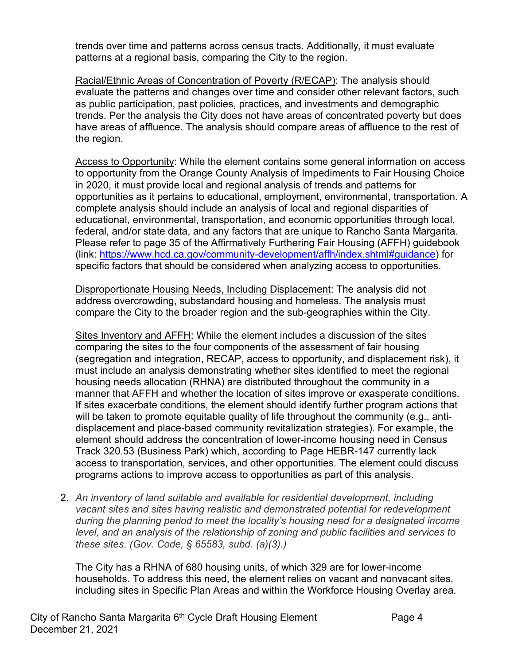trends over time and patterns across census tracts. Additionally, it must evaluate patterns at a regional basis, comparing the City to the region.

Racial/Ethnic Areas of Concentration of Poverty (R/ECAP): The analysis should evaluate the patterns and changes over time and consider other relevant factors, such as public participation, past policies, practices, and investments and demographic trends. Per the analysis the City does not have areas of concentrated poverty but does have areas of affluence. The analysis should compare areas of affluence to the rest of the region.

Access to Opportunity: While the element contains some general information on access to opportunity from the Orange County Analysis of Impediments to Fair Housing Choice in 2020, it must provide local and regional analysis of trends and patterns for opportunities as it pertains to educational, employment, environmental, transportation. A complete analysis should include an analysis of local and regional disparities of educational, environmental, transportation, and economic opportunities through local, federal, and/or state data, and any factors that are unique to Rancho Santa Margarita. Please refer to page 35 of the Affirmatively Furthering Fair Housing (AFFH) guidebook (link: [https://www.hcd.ca.gov/community-development/affh/index.shtml#guidance\)](https://www.hcd.ca.gov/community-development/affh/index.shtml#guidance) for specific factors that should be considered when analyzing access to opportunities.

Disproportionate Housing Needs, Including Displacement: The analysis did not address overcrowding, substandard housing and homeless. The analysis must compare the City to the broader region and the sub-geographies within the City.

Sites Inventory and AFFH: While the element includes a discussion of the sites comparing the sites to the four components of the assessment of fair housing (segregation and integration, RECAP, access to opportunity, and displacement risk), it must include an analysis demonstrating whether sites identified to meet the regional housing needs allocation (RHNA) are distributed throughout the community in a manner that AFFH and whether the location of sites improve or exasperate conditions. If sites exacerbate conditions, the element should identify further program actions that will be taken to promote equitable quality of life throughout the community (e.g., antidisplacement and place-based community revitalization strategies). For example, the element should address the concentration of lower-income housing need in Census Track 320.53 (Business Park) which, according to Page HEBR-147 currently lack access to transportation, services, and other opportunities. The element could discuss programs actions to improve access to opportunities as part of this analysis.

2. *An inventory of land suitable and available for residential development, including vacant sites and sites having realistic and demonstrated potential for redevelopment during the planning period to meet the locality's housing need for a designated income level, and an analysis of the relationship of zoning and public facilities and services to these sites. (Gov. Code, § 65583, subd. (a)(3).)*

The City has a RHNA of 680 housing units, of which 329 are for lower-income households. To address this need, the element relies on vacant and nonvacant sites, including sites in Specific Plan Areas and within the Workforce Housing Overlay area.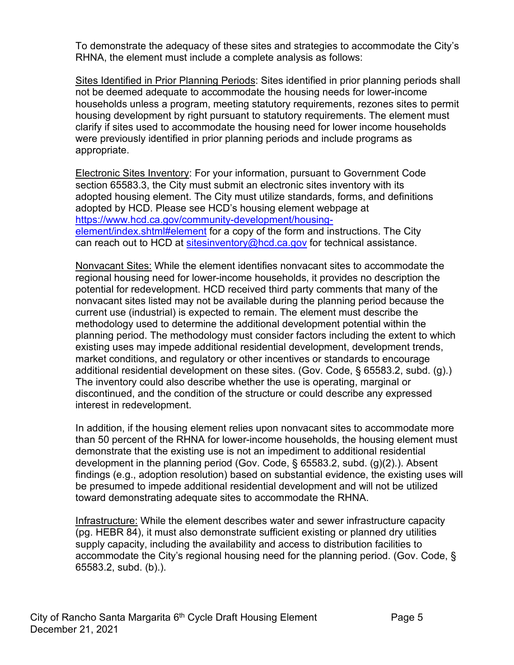To demonstrate the adequacy of these sites and strategies to accommodate the City's RHNA, the element must include a complete analysis as follows:

Sites Identified in Prior Planning Periods: Sites identified in prior planning periods shall not be deemed adequate to accommodate the housing needs for lower-income households unless a program, meeting statutory requirements, rezones sites to permit housing development by right pursuant to statutory requirements. The element must clarify if sites used to accommodate the housing need for lower income households were previously identified in prior planning periods and include programs as appropriate.

Electronic Sites Inventory: For your information, pursuant to Government Code section 65583.3, the City must submit an electronic sites inventory with its adopted housing element. The City must utilize standards, forms, and definitions adopted by HCD. Please see HCD's housing element webpage at [https://www.hcd.ca.gov/community-development/housing](https://www.hcd.ca.gov/community-development/housing-element/index.shtml#element)[element/index.shtml#element](https://www.hcd.ca.gov/community-development/housing-element/index.shtml#element) for a copy of the form and instructions. The City can reach out to HCD at [sitesinventory@hcd.ca.gov](mailto:sitesinventory@hcd.ca.gov) for technical assistance.

Nonvacant Sites: While the element identifies nonvacant sites to accommodate the regional housing need for lower-income households, it provides no description the potential for redevelopment. HCD received third party comments that many of the nonvacant sites listed may not be available during the planning period because the current use (industrial) is expected to remain. The element must describe the methodology used to determine the additional development potential within the planning period. The methodology must consider factors including the extent to which existing uses may impede additional residential development, development trends, market conditions, and regulatory or other incentives or standards to encourage additional residential development on these sites. (Gov. Code, § 65583.2, subd. (g).) The inventory could also describe whether the use is operating, marginal or discontinued, and the condition of the structure or could describe any expressed interest in redevelopment.

In addition, if the housing element relies upon nonvacant sites to accommodate more than 50 percent of the RHNA for lower-income households, the housing element must demonstrate that the existing use is not an impediment to additional residential development in the planning period (Gov. Code, § 65583.2, subd. (g)(2).). Absent findings (e.g., adoption resolution) based on substantial evidence, the existing uses will be presumed to impede additional residential development and will not be utilized toward demonstrating adequate sites to accommodate the RHNA.

Infrastructure: While the element describes water and sewer infrastructure capacity (pg. HEBR 84), it must also demonstrate sufficient existing or planned dry utilities supply capacity, including the availability and access to distribution facilities to accommodate the City's regional housing need for the planning period. (Gov. Code, § 65583.2, subd. (b).).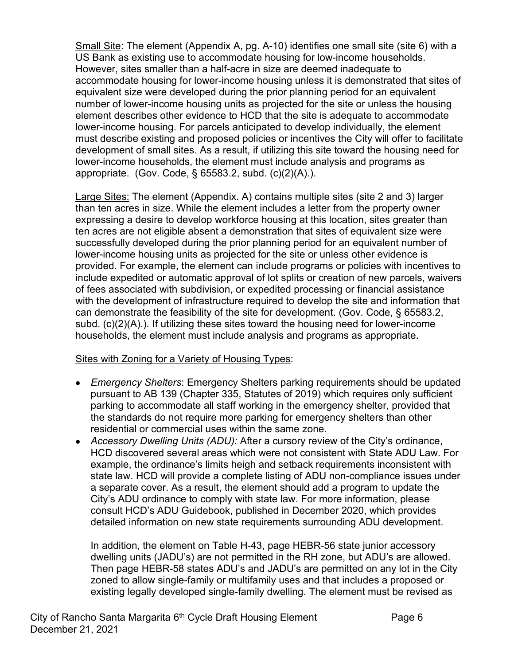Small Site: The element (Appendix A, pg. A-10) identifies one small site (site 6) with a US Bank as existing use to accommodate housing for low-income households. However, sites smaller than a half-acre in size are deemed inadequate to accommodate housing for lower-income housing unless it is demonstrated that sites of equivalent size were developed during the prior planning period for an equivalent number of lower-income housing units as projected for the site or unless the housing element describes other evidence to HCD that the site is adequate to accommodate lower-income housing. For parcels anticipated to develop individually, the element must describe existing and proposed policies or incentives the City will offer to facilitate development of small sites. As a result, if utilizing this site toward the housing need for lower-income households, the element must include analysis and programs as appropriate. (Gov. Code, § 65583.2, subd. (c)(2)(A).).

Large Sites: The element (Appendix. A) contains multiple sites (site 2 and 3) larger than ten acres in size. While the element includes a letter from the property owner expressing a desire to develop workforce housing at this location, sites greater than ten acres are not eligible absent a demonstration that sites of equivalent size were successfully developed during the prior planning period for an equivalent number of lower-income housing units as projected for the site or unless other evidence is provided. For example, the element can include programs or policies with incentives to include expedited or automatic approval of lot splits or creation of new parcels, waivers of fees associated with subdivision, or expedited processing or financial assistance with the development of infrastructure required to develop the site and information that can demonstrate the feasibility of the site for development. (Gov. Code, § 65583.2, subd. (c)(2)(A).). If utilizing these sites toward the housing need for lower-income households, the element must include analysis and programs as appropriate.

### Sites with Zoning for a Variety of Housing Types:

- *Emergency Shelters*: Emergency Shelters parking requirements should be updated pursuant to AB 139 (Chapter 335, Statutes of 2019) which requires only sufficient parking to accommodate all staff working in the emergency shelter, provided that the standards do not require more parking for emergency shelters than other residential or commercial uses within the same zone.
- *Accessory Dwelling Units (ADU):* After a cursory review of the City's ordinance, HCD discovered several areas which were not consistent with State ADU Law. For example, the ordinance's limits heigh and setback requirements inconsistent with state law. HCD will provide a complete listing of ADU non-compliance issues under a separate cover. As a result, the element should add a program to update the City's ADU ordinance to comply with state law. For more information, please consult HCD's ADU Guidebook, published in December 2020, which provides detailed information on new state requirements surrounding ADU development.

In addition, the element on Table H-43, page HEBR-56 state junior accessory dwelling units (JADU's) are not permitted in the RH zone, but ADU's are allowed. Then page HEBR-58 states ADU's and JADU's are permitted on any lot in the City zoned to allow single-family or multifamily uses and that includes a proposed or existing legally developed single-family dwelling. The element must be revised as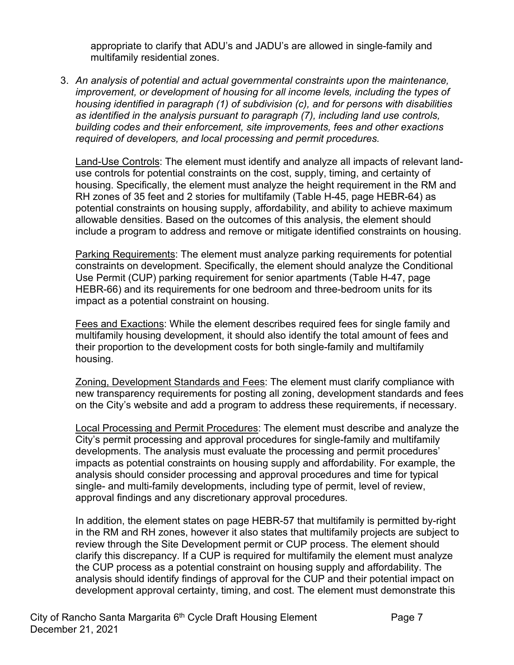appropriate to clarify that ADU's and JADU's are allowed in single-family and multifamily residential zones.

3. *An analysis of potential and actual governmental constraints upon the maintenance, improvement, or development of housing for all income levels, including the types of housing identified in paragraph (1) of subdivision (c), and for persons with disabilities as identified in the analysis pursuant to paragraph (7), including land use controls, building codes and their enforcement, site improvements, fees and other exactions required of developers, and local processing and permit procedures.* 

Land-Use Controls: The element must identify and analyze all impacts of relevant landuse controls for potential constraints on the cost, supply, timing, and certainty of housing. Specifically, the element must analyze the height requirement in the RM and RH zones of 35 feet and 2 stories for multifamily (Table H-45, page HEBR-64) as potential constraints on housing supply, affordability, and ability to achieve maximum allowable densities. Based on the outcomes of this analysis, the element should include a program to address and remove or mitigate identified constraints on housing.

Parking Requirements: The element must analyze parking requirements for potential constraints on development. Specifically, the element should analyze the Conditional Use Permit (CUP) parking requirement for senior apartments (Table H-47, page HEBR-66) and its requirements for one bedroom and three-bedroom units for its impact as a potential constraint on housing.

Fees and Exactions: While the element describes required fees for single family and multifamily housing development, it should also identify the total amount of fees and their proportion to the development costs for both single-family and multifamily housing.

Zoning, Development Standards and Fees: The element must clarify compliance with new transparency requirements for posting all zoning, development standards and fees on the City's website and add a program to address these requirements, if necessary.

Local Processing and Permit Procedures: The element must describe and analyze the City's permit processing and approval procedures for single-family and multifamily developments. The analysis must evaluate the processing and permit procedures' impacts as potential constraints on housing supply and affordability. For example, the analysis should consider processing and approval procedures and time for typical single- and multi-family developments, including type of permit, level of review, approval findings and any discretionary approval procedures.

In addition, the element states on page HEBR-57 that multifamily is permitted by-right in the RM and RH zones, however it also states that multifamily projects are subject to review through the Site Development permit or CUP process. The element should clarify this discrepancy. If a CUP is required for multifamily the element must analyze the CUP process as a potential constraint on housing supply and affordability. The analysis should identify findings of approval for the CUP and their potential impact on development approval certainty, timing, and cost. The element must demonstrate this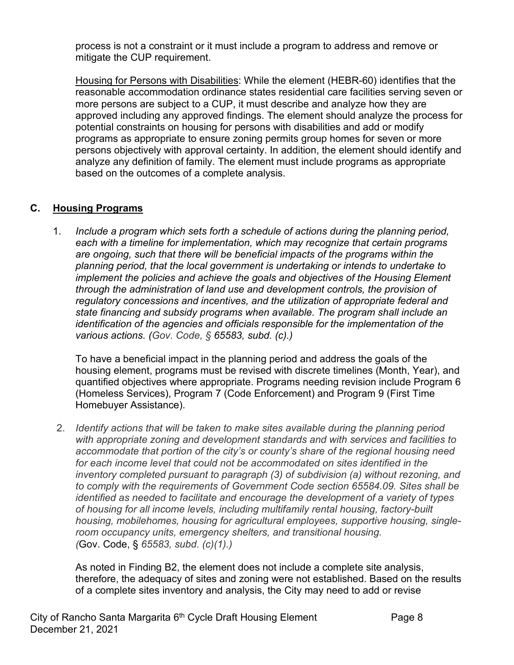process is not a constraint or it must include a program to address and remove or mitigate the CUP requirement.

Housing for Persons with Disabilities: While the element (HEBR-60) identifies that the reasonable accommodation ordinance states residential care facilities serving seven or more persons are subject to a CUP, it must describe and analyze how they are approved including any approved findings. The element should analyze the process for potential constraints on housing for persons with disabilities and add or modify programs as appropriate to ensure zoning permits group homes for seven or more persons objectively with approval certainty. In addition, the element should identify and analyze any definition of family. The element must include programs as appropriate based on the outcomes of a complete analysis.

## **C. Housing Programs**

1. *Include a program which sets forth a schedule of actions during the planning period, each with a timeline for implementation, which may recognize that certain programs are ongoing, such that there will be beneficial impacts of the programs within the planning period, that the local government is undertaking or intends to undertake to implement the policies and achieve the goals and objectives of the Housing Element through the administration of land use and development controls, the provision of regulatory concessions and incentives, and the utilization of appropriate federal and state financing and subsidy programs when available. The program shall include an identification of the agencies and officials responsible for the implementation of the various actions. (Gov. Code, § 65583, subd. (c).)*

To have a beneficial impact in the planning period and address the goals of the housing element, programs must be revised with discrete timelines (Month, Year), and quantified objectives where appropriate. Programs needing revision include Program 6 (Homeless Services), Program 7 (Code Enforcement) and Program 9 (First Time Homebuyer Assistance).

2. *Identify actions that will be taken to make sites available during the planning period with appropriate zoning and development standards and with services and facilities to accommodate that portion of the city's or county's share of the regional housing need*  for each income level that could not be accommodated on sites identified in the *inventory completed pursuant to paragraph (3) of subdivision (a) without rezoning, and to comply with the requirements of Government Code section 65584.09. Sites shall be identified as needed to facilitate and encourage the development of a variety of types of housing for all income levels, including multifamily rental housing, factory-built housing, mobilehomes, housing for agricultural employees, supportive housing, singleroom occupancy units, emergency shelters, and transitional housing. (*Gov. Code, § *65583, subd. (c)(1).)*

As noted in Finding B2, the element does not include a complete site analysis, therefore, the adequacy of sites and zoning were not established. Based on the results of a complete sites inventory and analysis, the City may need to add or revise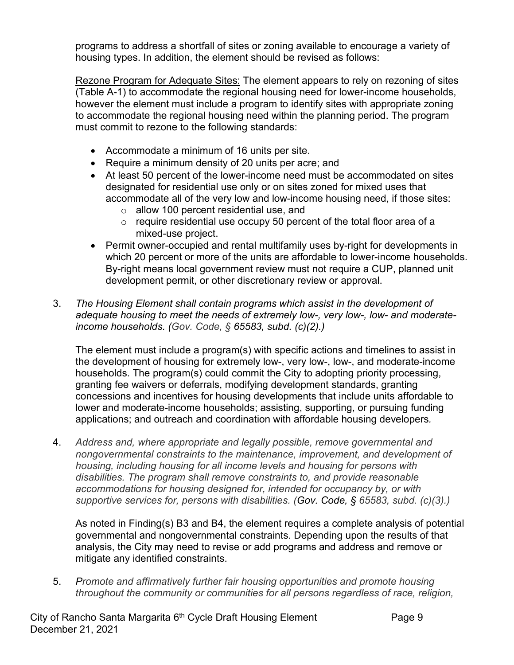programs to address a shortfall of sites or zoning available to encourage a variety of housing types. In addition, the element should be revised as follows:

Rezone Program for Adequate Sites: The element appears to rely on rezoning of sites (Table A-1) to accommodate the regional housing need for lower-income households, however the element must include a program to identify sites with appropriate zoning to accommodate the regional housing need within the planning period. The program must commit to rezone to the following standards:

- Accommodate a minimum of 16 units per site.
- Require a minimum density of 20 units per acre; and
- At least 50 percent of the lower-income need must be accommodated on sites designated for residential use only or on sites zoned for mixed uses that accommodate all of the very low and low-income housing need, if those sites:
	- o allow 100 percent residential use, and
	- $\circ$  require residential use occupy 50 percent of the total floor area of a mixed-use project.
- Permit owner-occupied and rental multifamily uses by-right for developments in which 20 percent or more of the units are affordable to lower-income households. By-right means local government review must not require a CUP, planned unit development permit, or other discretionary review or approval.
- 3. *The Housing Element shall contain programs which assist in the development of adequate housing to meet the needs of extremely low-, very low-, low- and moderateincome households. (Gov. Code, § 65583, subd. (c)(2).)*

The element must include a program(s) with specific actions and timelines to assist in the development of housing for extremely low-, very low-, low-, and moderate-income households. The program(s) could commit the City to adopting priority processing, granting fee waivers or deferrals, modifying development standards, granting concessions and incentives for housing developments that include units affordable to lower and moderate-income households; assisting, supporting, or pursuing funding applications; and outreach and coordination with affordable housing developers*.*

4. *Address and, where appropriate and legally possible, remove governmental and nongovernmental constraints to the maintenance, improvement, and development of housing, including housing for all income levels and housing for persons with disabilities. The program shall remove constraints to, and provide reasonable accommodations for housing designed for, intended for occupancy by, or with supportive services for, persons with disabilities. (Gov. Code, § 65583, subd. (c)(3).)*

As noted in Finding(s) B3 and B4, the element requires a complete analysis of potential governmental and nongovernmental constraints. Depending upon the results of that analysis, the City may need to revise or add programs and address and remove or mitigate any identified constraints.

5. *Promote and affirmatively further fair housing opportunities and promote housing throughout the community or communities for all persons regardless of race, religion,*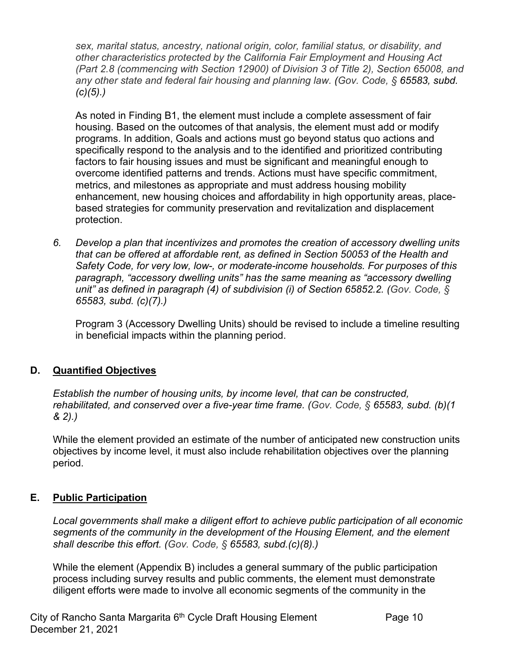*sex, marital status, ancestry, national origin, color, familial status, or disability, and other characteristics protected by the California Fair Employment and Housing Act (Part 2.8 (commencing with Section 12900) of Division 3 of Title 2), Section 65008, and any other state and federal fair housing and planning law. (Gov. Code, § 65583, subd. (c)(5).)*

As noted in Finding B1, the element must include a complete assessment of fair housing. Based on the outcomes of that analysis, the element must add or modify programs. In addition, Goals and actions must go beyond status quo actions and specifically respond to the analysis and to the identified and prioritized contributing factors to fair housing issues and must be significant and meaningful enough to overcome identified patterns and trends. Actions must have specific commitment, metrics, and milestones as appropriate and must address housing mobility enhancement, new housing choices and affordability in high opportunity areas, placebased strategies for community preservation and revitalization and displacement protection.

*6. Develop a plan that incentivizes and promotes the creation of accessory dwelling units that can be offered at affordable rent, as defined in Section 50053 of the Health and Safety Code, for very low, low-, or moderate-income households. For purposes of this paragraph, "accessory dwelling units" has the same meaning as "accessory dwelling unit" as defined in paragraph (4) of subdivision (i) of Section 65852.2. (Gov. Code, § 65583, subd. (c)(7).)* 

Program 3 (Accessory Dwelling Units) should be revised to include a timeline resulting in beneficial impacts within the planning period.

### **D. Quantified Objectives**

*Establish the number of housing units, by income level, that can be constructed, rehabilitated, and conserved over a five-year time frame. (Gov. Code, § 65583, subd. (b)(1 & 2).)*

While the element provided an estimate of the number of anticipated new construction units objectives by income level, it must also include rehabilitation objectives over the planning period.

# **E. Public Participation**

*Local governments shall make a diligent effort to achieve public participation of all economic segments of the community in the development of the Housing Element, and the element shall describe this effort. (Gov. Code, § 65583, subd.(c)(8).)*

While the element (Appendix B) includes a general summary of the public participation process including survey results and public comments, the element must demonstrate diligent efforts were made to involve all economic segments of the community in the